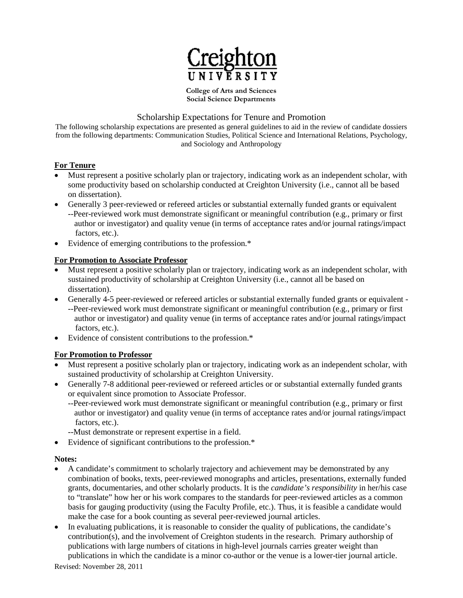

**College of Arts and Sciences Social Science Departments**

# Scholarship Expectations for Tenure and Promotion

The following scholarship expectations are presented as general guidelines to aid in the review of candidate dossiers from the following departments: Communication Studies, Political Science and International Relations, Psychology, and Sociology and Anthropology

# **For Tenure**

- Must represent a positive scholarly plan or trajectory, indicating work as an independent scholar, with some productivity based on scholarship conducted at Creighton University (i.e., cannot all be based on dissertation).
- Generally 3 peer-reviewed or refereed articles or substantial externally funded grants or equivalent --Peer-reviewed work must demonstrate significant or meaningful contribution (e.g., primary or first author or investigator) and quality venue (in terms of acceptance rates and/or journal ratings/impact factors, etc.).
- Evidence of emerging contributions to the profession.\*

## **For Promotion to Associate Professor**

- Must represent a positive scholarly plan or trajectory, indicating work as an independent scholar, with sustained productivity of scholarship at Creighton University (i.e., cannot all be based on dissertation).
- Generally 4-5 peer-reviewed or refereed articles or substantial externally funded grants or equivalent --Peer-reviewed work must demonstrate significant or meaningful contribution (e.g., primary or first author or investigator) and quality venue (in terms of acceptance rates and/or journal ratings/impact factors, etc.).
- Evidence of consistent contributions to the profession.\*

# **For Promotion to Professor**

- Must represent a positive scholarly plan or trajectory, indicating work as an independent scholar, with sustained productivity of scholarship at Creighton University.
- Generally 7-8 additional peer-reviewed or refereed articles or or substantial externally funded grants or equivalent since promotion to Associate Professor.
	- --Peer-reviewed work must demonstrate significant or meaningful contribution (e.g., primary or first author or investigator) and quality venue (in terms of acceptance rates and/or journal ratings/impact factors, etc.).
	- --Must demonstrate or represent expertise in a field.
- Evidence of significant contributions to the profession.\*

### **Notes:**

- A candidate's commitment to scholarly trajectory and achievement may be demonstrated by any combination of books, texts, peer-reviewed monographs and articles, presentations, externally funded grants, documentaries, and other scholarly products. It is the *candidate's responsibility* in her/his case to "translate" how her or his work compares to the standards for peer-reviewed articles as a common basis for gauging productivity (using the Faculty Profile, etc.). Thus, it is feasible a candidate would make the case for a book counting as several peer-reviewed journal articles.
- In evaluating publications, it is reasonable to consider the quality of publications, the candidate's contribution(s), and the involvement of Creighton students in the research. Primary authorship of publications with large numbers of citations in high-level journals carries greater weight than publications in which the candidate is a minor co-author or the venue is a lower-tier journal article.

Revised: November 28, 2011